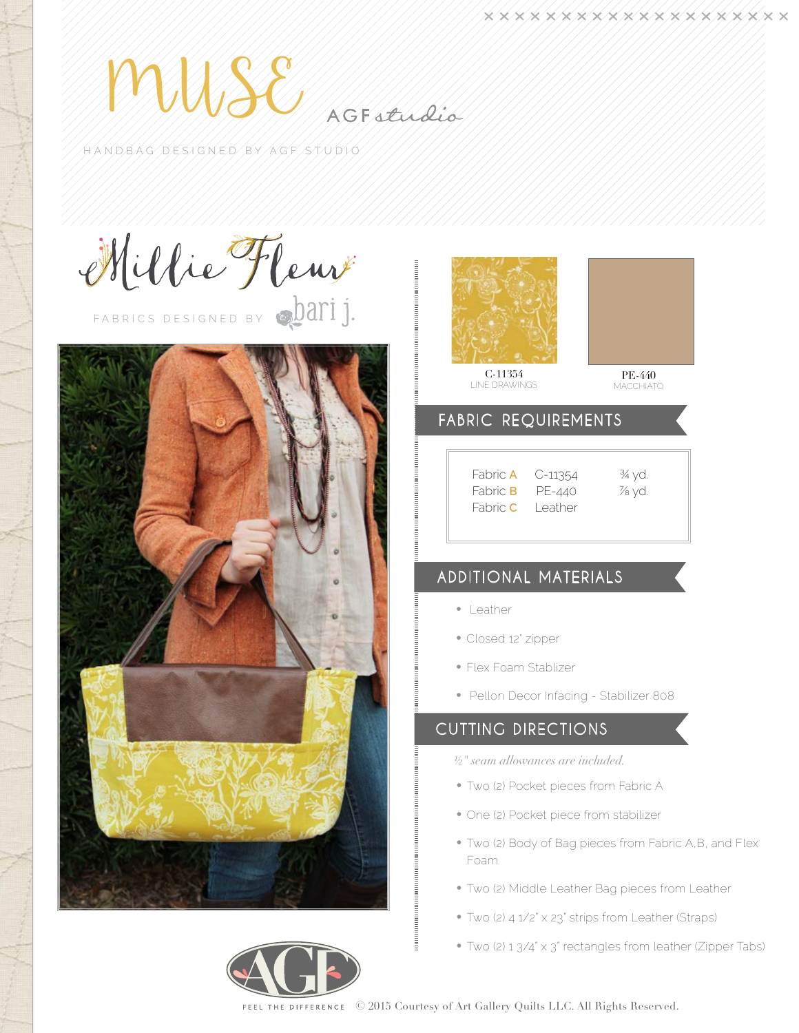MUSS SINAGE SELLELLO

HANDBAG DESIGNED BY AGF STUDIO

Millie Fleuv







**MACCHIATO** 

## FABRIC REQUIREMENTS

| Fabric <b>A</b> | C-11354  |
|-----------------|----------|
| Fabric <b>B</b> | PE-440   |
| Fabric C        | I eather |
|                 |          |

# 54 <sup>3</sup>4 yd. Fabric **B** PE-440 ⅞ yd.

# Additional Materials

- • Leather
- Closed 12' zipper
- • Flex Foam Stablizer
- Pellon Decor Infacing Stabilizer 808

## Cutting directions

- *½" seam allowances are included.*
- Two (2) Pocket pieces from Fabric A
- One (2) Pocket piece from stabilizer
- Two (2) Body of Bag pieces from Fabric A,B, and Flex Foam
- Two (2) Middle Leather Bag pieces from Leather
- Two (2) 4 1/2" x 23" strips from Leather (Straps)
- Two (2) 1 3/4" x 3" rectangles from leather (Zipper Tabs)

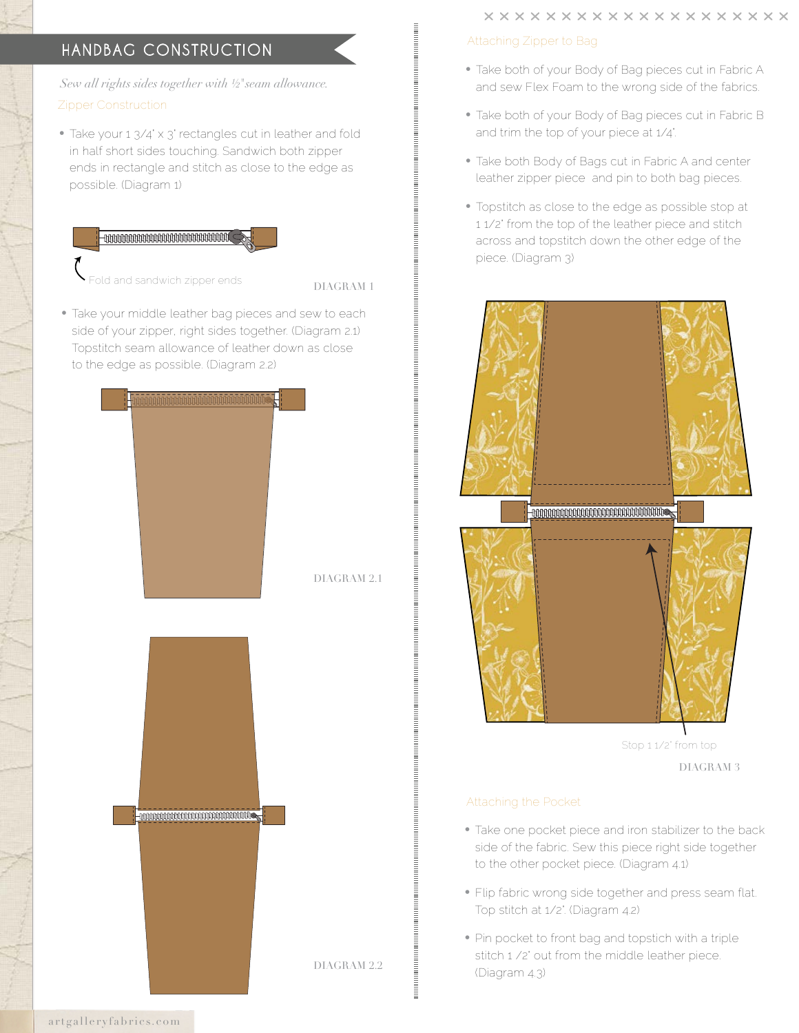# Handbag CONSTRUCTION

*Sew all rights sides together with ½*"*seam allowance.*  Zipper Construction

• Take your 1 3/4' x 3' rectangles cut in leather and fold in half short sides touching. Sandwich both zipper ends in rectangle and stitch as close to the edge as possible. (Diagram 1)



old and sandwich zipper ends

DIAGRAM 1

• Take your middle leather bag pieces and sew to each side of your zipper, right sides together. (Diagram 2.1) Topstitch seam allowance of leather down as close to the edge as possible. (Diagram 2.2)



### Attaching Zipper to Bag

- Take both of your Body of Bag pieces cut in Fabric A and sew Flex Foam to the wrong side of the fabrics.
- Take both of your Body of Bag pieces cut in Fabric B and trim the top of your piece at 1/4".
- Take both Body of Bags cut in Fabric A and center leather zipper piece and pin to both bag pieces.
- Topstitch as close to the edge as possible stop at 1 1/2" from the top of the leather piece and stitch across and topstitch down the other edge of the piece. (Diagram 3)



Stop 1 1/2' from top

DIAGRAM 3

#### Attaching the Pocket

- Take one pocket piece and iron stabilizer to the back side of the fabric. Sew this piece right side together to the other pocket piece. (Diagram 4.1)
- Flip fabric wrong side together and press seam flat. Top stitch at 1/2". (Diagram 4.2)
- Pin pocket to front bag and topstich with a triple stitch 1 /2" out from the middle leather piece. (Diagram 4.3)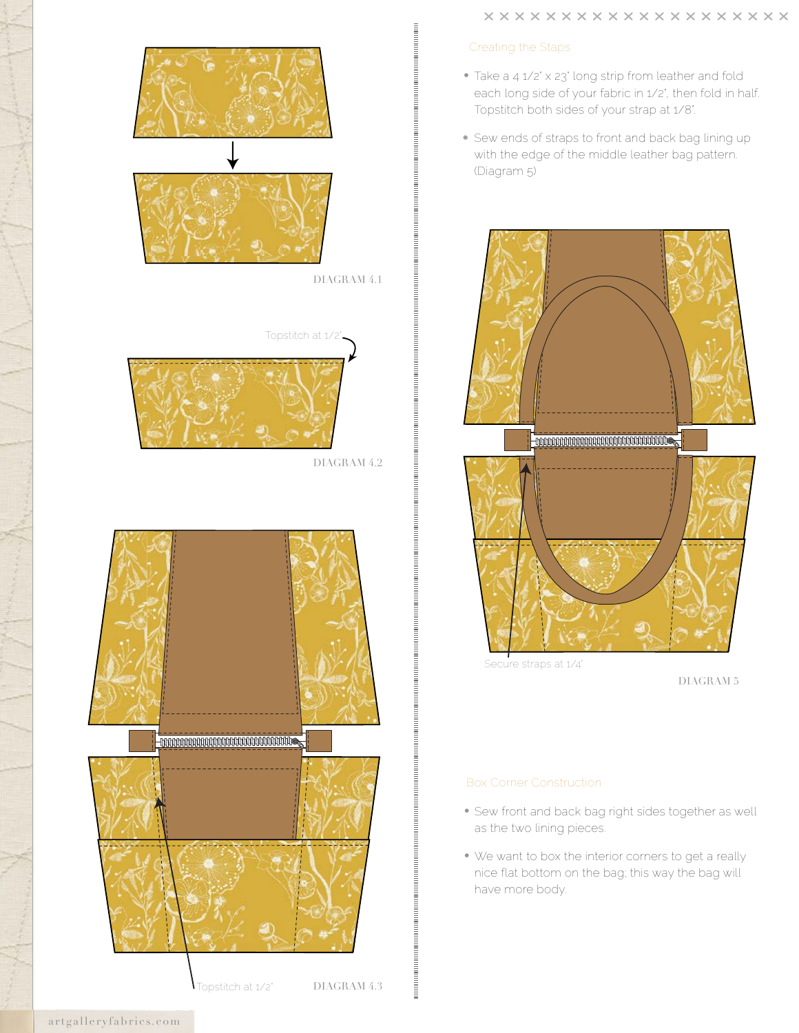#### Creating the Staps

- Take a 4 1/2' x 23' long strip from leather and fold each long side of your fabric in 1/2', then fold in half. Topstitch both sides of your strap at 1/8".
- Sew ends of straps to front and back bag lining up with the edge of the middle leather bag pattern. (Diagram 5)



Secure straps at  $1/4$ "

DIAGRAM 5

#### Box Corner Construction

- Sew front and back bag right sides together as well as the two lining pieces.
- We want to box the interior corners to get a really nice flat bottom on the bag; this way the bag will have more body.



DIAGRAM 4.1



DIAGRAM 4.2



artgalleryfabrics.com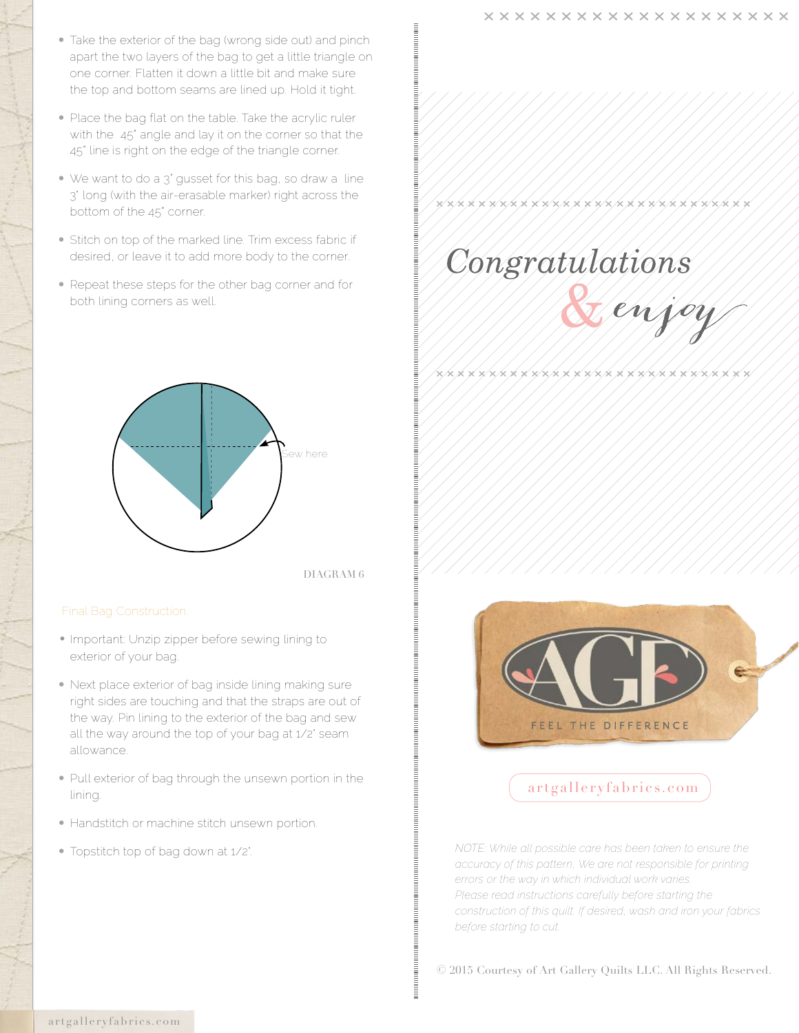- Take the exterior of the bag (wrong side out) and pinch apart the two layers of the bag to get a little triangle on one corner. Flatten it down a little bit and make sure the top and bottom seams are lined up. Hold it tight.
- Place the bag flat on the table. Take the acrylic ruler with the 45° angle and lay it on the corner so that the 45° line is right on the edge of the triangle corner.
- We want to do a 3" gusset for this bag, so draw a line 3' long (with the air-erasable marker) right across the bottom of the 45° corner.
- Stitch on top of the marked line. Trim excess fabric if desired, or leave it to add more body to the corner.
- Repeat these steps for the other bag corner and for both lining corners as well.



DIAGRAM 6

- Important: Unzip zipper before sewing lining to exterior of your bag.
- Next place exterior of bag inside lining making sure right sides are touching and that the straps are out of the way. Pin lining to the exterior of the bag and sew all the way around the top of your bag at 1/2" seam allowance.
- Pull exterior of bag through the unsewn portion in the lining.
- Handstitch or machine stitch unsewn portion.
- 



\*\*\*\*\*\*\*\*\*\*\*\*\*\*\*\*\*\*\*\*\*\*\*\*\*\*\*\*

**\*\*\*\*\*\*\*\*\*\*\*\*\*\*\*\*\*\*\*\*\*\*\*\*\*\*\***\*



## artgalleryfabrics.com

• Topstitch top of bag down at 1/2". *NOTE: While all possible care has been taken to ensure the accuracy of this pattern, We are not responsible for printing errors or the way in which individual work varies. Please read instructions carefully before starting the construction of this quilt. If desired, wash and iron your fabrics before starting to cut.*

© 2015 Courtesy of Art Gallery Quilts LLC. All Rights Reserved.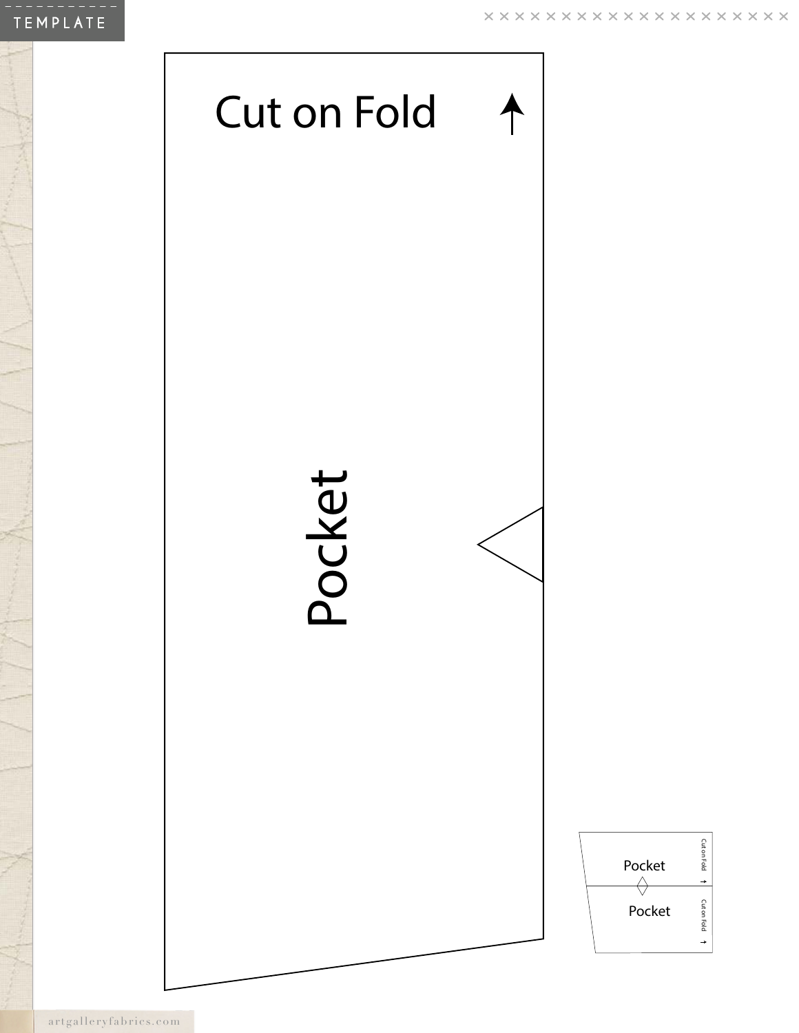

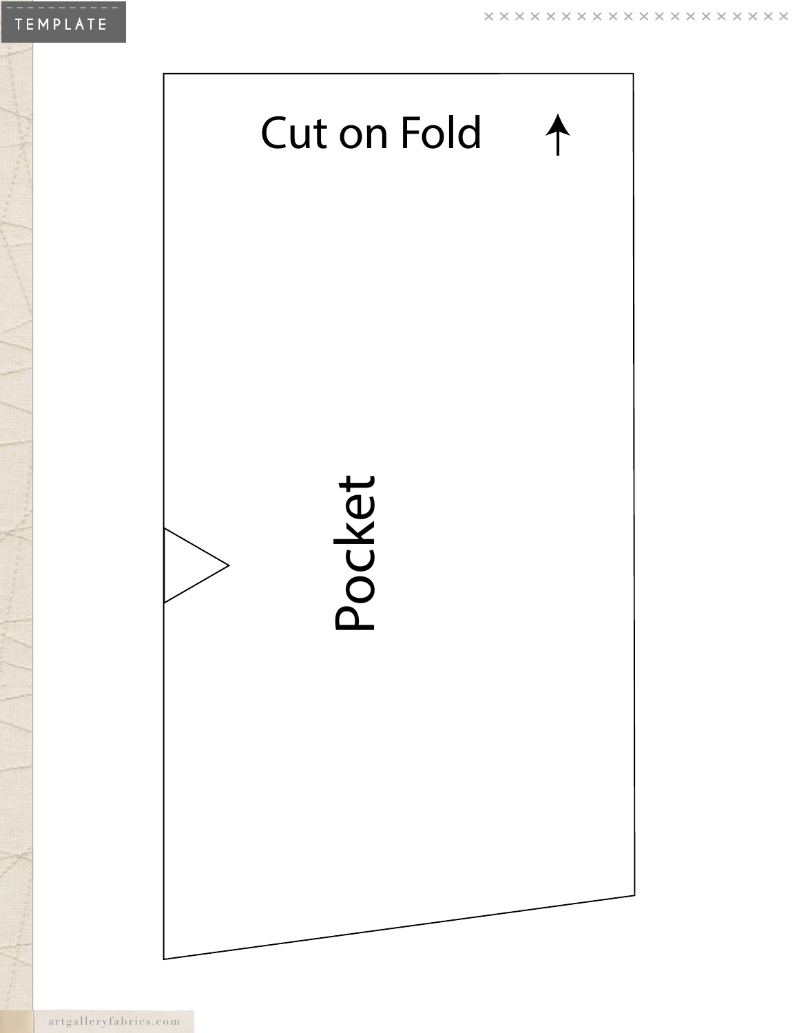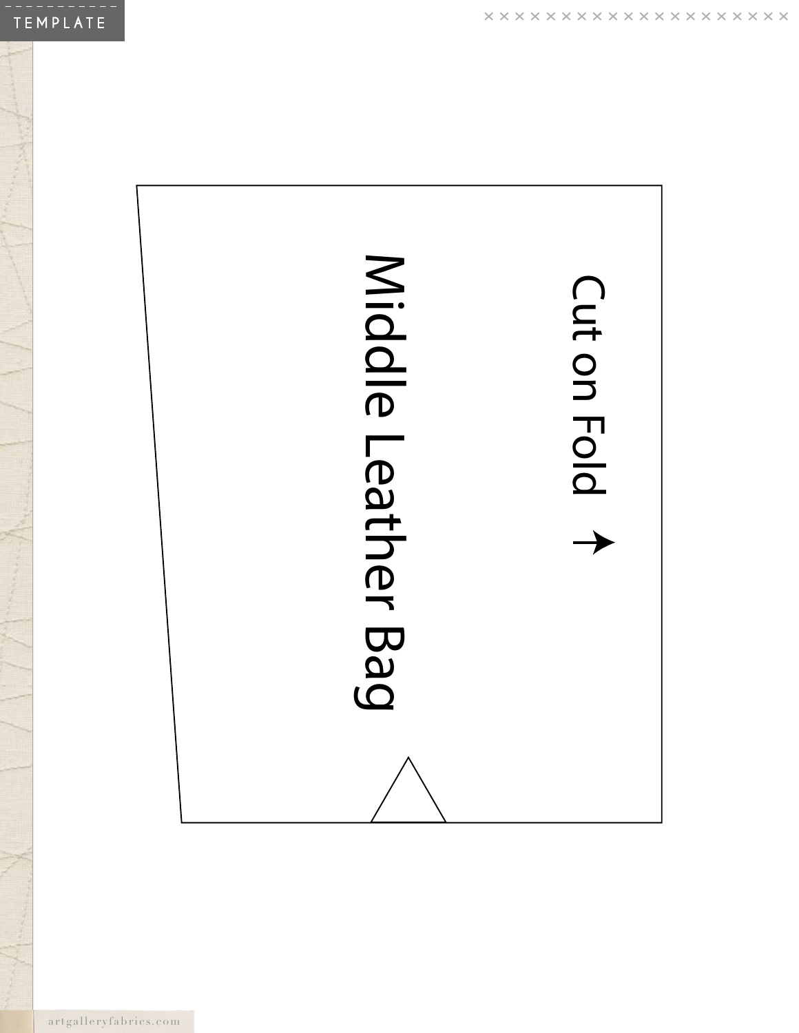

artgalleryfabrics.com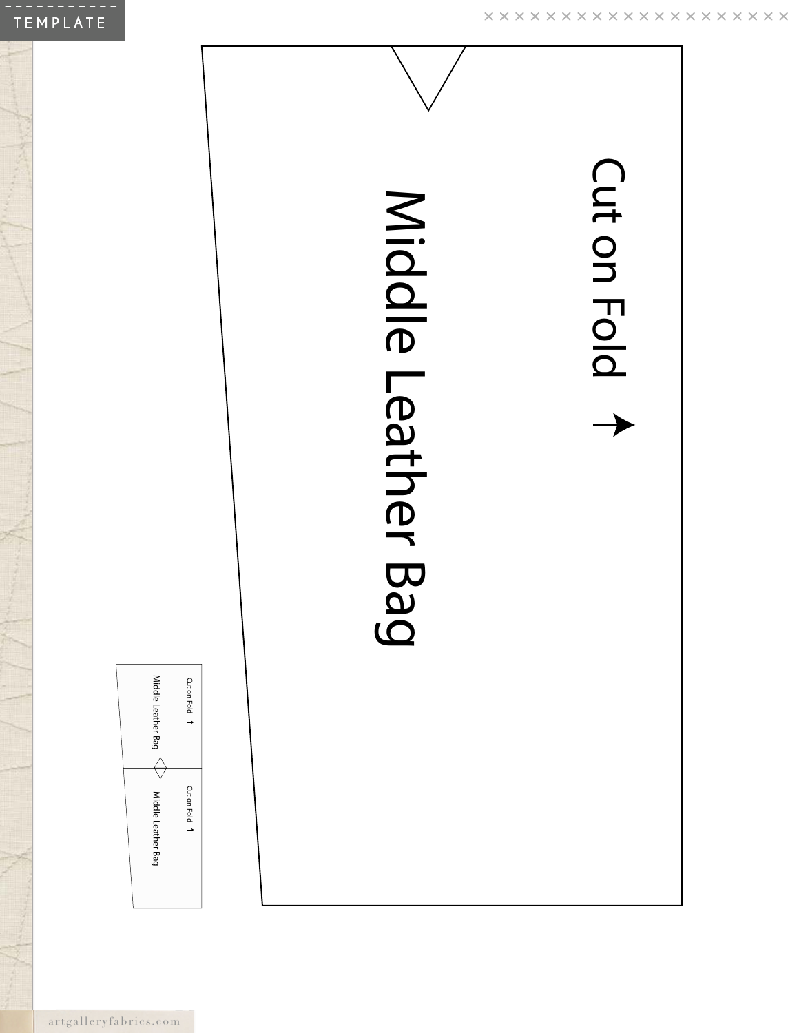

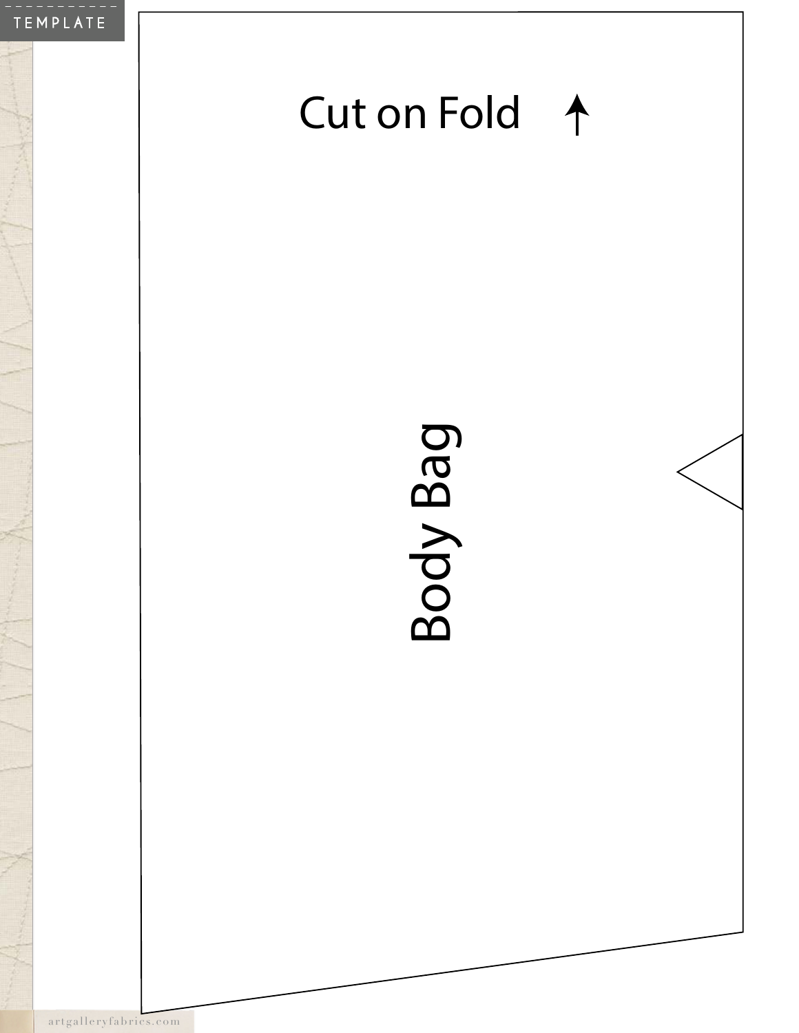